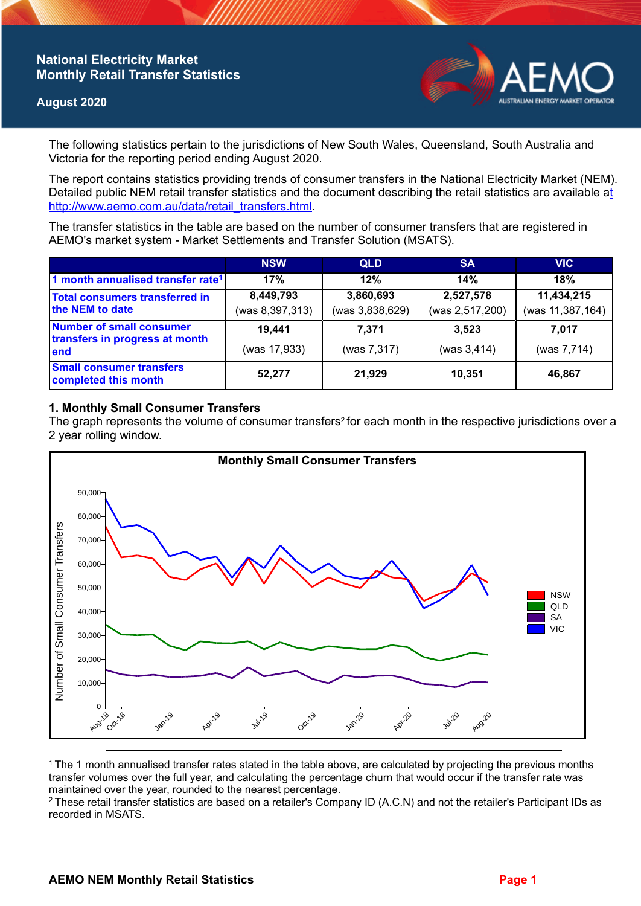## **National Electricity Market Monthly Retail Transfer Statistics**

### **August 2020**



The following statistics pertain to the jurisdictions of New South Wales, Queensland, South Australia and Victoria for the reporting period ending August 2020.

The report contains statistics providing trends of consumer transfers in the National Electricity Market (NEM). Detailed public NEM retail transfer statistics and the document describing the retail statistics are available a[t](http://www.aemo.com.au/data/retail_transfers.html)  http://www.aemo.com.au/data/retail\_transfers.html

The transfer statistics in the table are based on the number of consumer transfers that are registered in AEMO's market system - Market Settlements and Transfer Solution (MSATS).

|                                                                    | <b>NSW</b>      | <b>QLD</b>      | <b>SA</b>       | <b>VIC</b>       |
|--------------------------------------------------------------------|-----------------|-----------------|-----------------|------------------|
| 1 month annualised transfer rate <sup>1</sup>                      | 17%             | 12%             | 14%             | 18%              |
| <b>Total consumers transferred in</b><br>the NEM to date           | 8,449,793       | 3,860,693       | 2,527,578       | 11,434,215       |
|                                                                    | (was 8,397,313) | (was 3,838,629) | (was 2,517,200) | (was 11,387,164) |
| Number of small consumer<br>transfers in progress at month<br>lend | 19.441          | 7.371           | 3.523           | 7.017            |
|                                                                    | (was 17,933)    | (was 7,317)     | (was 3, 414)    | (was 7,714)      |
| <b>Small consumer transfers</b><br>completed this month            | 52,277          | 21,929          | 10.351          | 46,867           |

## **1. Monthly Small Consumer Transfers**

The graph represents the volume of consumer transfers<sup>2</sup> for each month in the respective jurisdictions over a 2 year rolling window.



<sup>1</sup>The 1 month annualised transfer rates stated in the table above, are calculated by projecting the previous months transfer volumes over the full year, and calculating the percentage churn that would occur if the transfer rate was maintained over the year, rounded to the nearest percentage.

<sup>2</sup> These retail transfer statistics are based on a retailer's Company ID (A.C.N) and not the retailer's Participant IDs as recorded in MSATS.